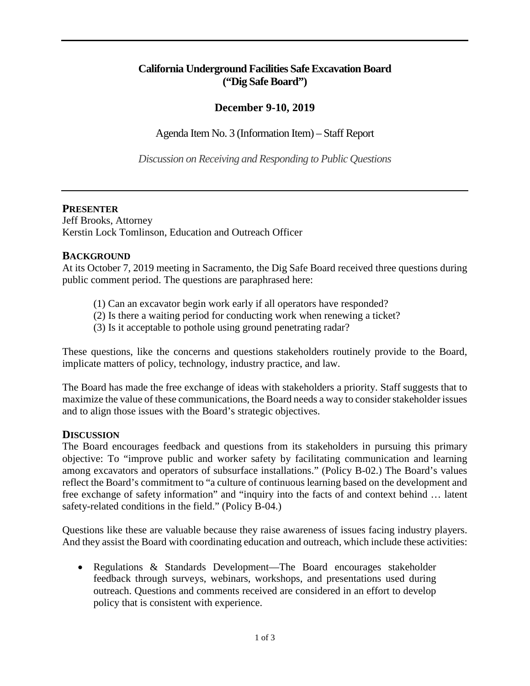## **California Underground Facilities Safe Excavation Board ("Dig Safe Board")**

# **December 9-10, 2019**

Agenda Item No. 3 (Information Item) – Staff Report

*Discussion on Receiving and Responding to Public Questions* 

### **PRESENTER**

Jeff Brooks, Attorney Kerstin Lock Tomlinson, Education and Outreach Officer

### **BACKGROUND**

At its October 7, 2019 meeting in Sacramento, the Dig Safe Board received three questions during public comment period. The questions are paraphrased here:

- (1) Can an excavator begin work early if all operators have responded?
- (2) Is there a waiting period for conducting work when renewing a ticket?
- (3) Is it acceptable to pothole using ground penetrating radar?

These questions, like the concerns and questions stakeholders routinely provide to the Board, implicate matters of policy, technology, industry practice, and law.

The Board has made the free exchange of ideas with stakeholders a priority. Staff suggests that to maximize the value of these communications, the Board needs a way to consider stakeholder issues and to align those issues with the Board's strategic objectives.

### **DISCUSSION**

 free exchange of safety information" and "inquiry into the facts of and context behind … latent safety-related conditions in the field." (Policy B-04.) The Board encourages feedback and questions from its stakeholders in pursuing this primary objective: To "improve public and worker safety by facilitating communication and learning among excavators and operators of subsurface installations." (Policy B-02.) The Board's values reflect the Board's commitment to "a culture of continuous learning based on the development and

safety-related conditions in the field." (Policy B-04.)<br>Questions like these are valuable because they raise awareness of issues facing industry players. And they assist the Board with coordinating education and outreach, which include these activities:

• Regulations & Standards Development—The Board encourages stakeholder feedback through surveys, webinars, workshops, and presentations used during outreach. Questions and comments received are considered in an effort to develop policy that is consistent with experience.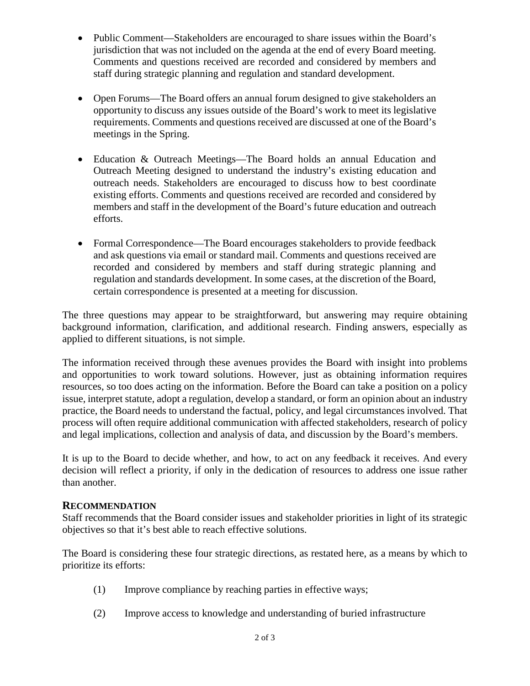- • Public Comment—Stakeholders are encouraged to share issues within the Board's jurisdiction that was not included on the agenda at the end of every Board meeting. Comments and questions received are recorded and considered by members and staff during strategic planning and regulation and standard development.
- opportunity to discuss any issues outside of the Board's work to meet its legislative requirements. Comments and questions received are discussed at one of the Board's • Open Forums—The Board offers an annual forum designed to give stakeholders an meetings in the Spring.
- Education & Outreach Meetings—The Board holds an annual Education and Outreach Meeting designed to understand the industry's existing education and outreach needs. Stakeholders are encouraged to discuss how to best coordinate existing efforts. Comments and questions received are recorded and considered by members and staff in the development of the Board's future education and outreach efforts.
- Formal Correspondence—The Board encourages stakeholders to provide feedback and ask questions via email or standard mail. Comments and questions received are recorded and considered by members and staff during strategic planning and regulation and standards development. In some cases, at the discretion of the Board, certain correspondence is presented at a meeting for discussion.

 The three questions may appear to be straightforward, but answering may require obtaining background information, clarification, and additional research. Finding answers, especially as applied to different situations, is not simple.

The information received through these avenues provides the Board with insight into problems and opportunities to work toward solutions. However, just as obtaining information requires resources, so too does acting on the information. Before the Board can take a position on a policy issue, interpret statute, adopt a regulation, develop a standard, or form an opinion about an industry practice, the Board needs to understand the factual, policy, and legal circumstances involved. That process will often require additional communication with affected stakeholders, research of policy and legal implications, collection and analysis of data, and discussion by the Board's members.

It is up to the Board to decide whether, and how, to act on any feedback it receives. And every decision will reflect a priority, if only in the dedication of resources to address one issue rather than another.

#### **RECOMMENDATION**

Staff recommends that the Board consider issues and stakeholder priorities in light of its strategic objectives so that it's best able to reach effective solutions.

The Board is considering these four strategic directions, as restated here, as a means by which to prioritize its efforts:

- (1) Improve compliance by reaching parties in effective ways;
- (2) Improve access to knowledge and understanding of buried infrastructure